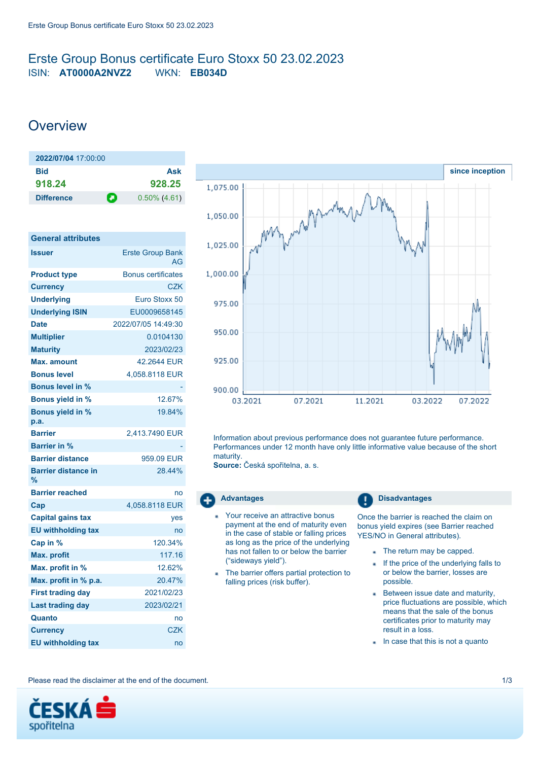## <span id="page-0-0"></span>Erste Group Bonus certificate Euro Stoxx 50 23.02.2023 ISIN: **AT0000A2NVZ2** WKN: **EB034D**

# **Overview**

| 2022/07/04 17:00:00 |                      |  |
|---------------------|----------------------|--|
| Bid                 | Ask                  |  |
| 918.24              | 928.25               |  |
| <b>Difference</b>   | О<br>$0.50\%$ (4.61) |  |

| <b>General attributes</b>       |                               |
|---------------------------------|-------------------------------|
| <b>Issuer</b>                   | <b>Erste Group Bank</b><br>AG |
| <b>Product type</b>             | <b>Bonus certificates</b>     |
| <b>Currency</b>                 | CZK                           |
| <b>Underlying</b>               | Euro Stoxx 50                 |
| <b>Underlying ISIN</b>          | EU0009658145                  |
| <b>Date</b>                     | 2022/07/05 14:49:30           |
| <b>Multiplier</b>               | 0.0104130                     |
| <b>Maturity</b>                 | 2023/02/23                    |
| Max. amount                     | 42 2644 FUR                   |
| <b>Bonus level</b>              | 4.058.8118 EUR                |
| <b>Bonus level in %</b>         |                               |
| <b>Bonus yield in %</b>         | 12.67%                        |
| <b>Bonus yield in %</b><br>p.a. | 19.84%                        |
| <b>Barrier</b>                  | 2,413.7490 EUR                |
| Barrier in %                    |                               |
| <b>Barrier distance</b>         | 959.09 EUR                    |
| <b>Barrier distance in</b><br>% | 28.44%                        |
| <b>Barrier reached</b>          | no                            |
| Cap                             | 4,058.8118 EUR                |
| <b>Capital gains tax</b>        | yes                           |
| <b>EU withholding tax</b>       | no                            |
| Cap in %                        | 120.34%                       |
| <b>Max. profit</b>              | 117.16                        |
| Max. profit in %                | 12.62%                        |
| Max. profit in % p.a.           | 20.47%                        |
| <b>First trading day</b>        | 2021/02/23                    |
| <b>Last trading day</b>         | 2023/02/21                    |
| Quanto                          | no                            |
| <b>Currency</b>                 | CZK                           |
| <b>EU withholding tax</b>       | no                            |



Information about previous performance does not guarantee future performance. Performances under 12 month have only little informative value because of the short maturity.

**Source:** Česká spořitelna, a. s.

- Your receive an attractive bonus payment at the end of maturity even in the case of stable or falling prices as long as the price of the underlying has not fallen to or below the barrier ("sideways yield").
- The barrier offers partial protection to falling prices (risk buffer).

Advantages **Disadvantages** 

Once the barrier is reached the claim on bonus yield expires (see Barrier reached YES/NO in General attributes).

- The return may be capped.
- If the price of the underlying falls to a, or below the barrier, losses are possible.
- Between issue date and maturity, price fluctuations are possible, which means that the sale of the bonus certificates prior to maturity may result in a loss.
- In case that this is not a quanto

Please read the disclaimer at the end of the document. 1/3

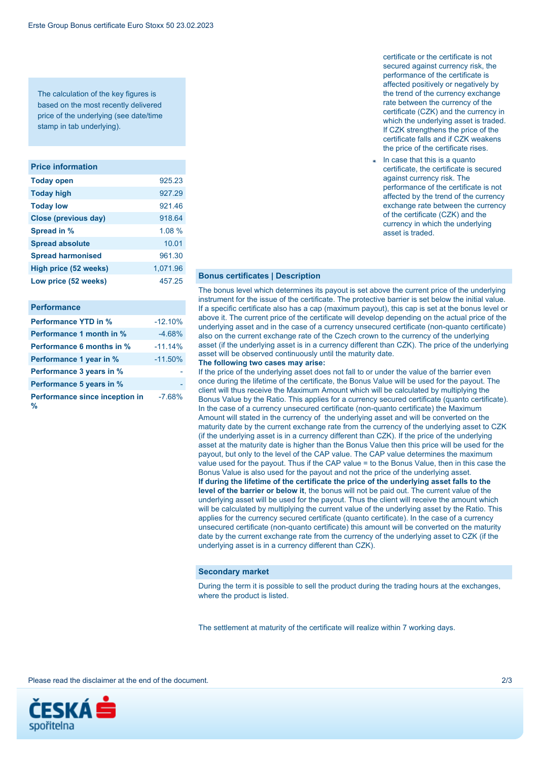The calculation of the key figures is based on the most recently delivered price of the underlying (see date/time stamp in tab underlying).

#### **Price information**

| <b>Today open</b>        | 925.23   |
|--------------------------|----------|
| <b>Today high</b>        | 927.29   |
| <b>Today low</b>         | 921.46   |
| Close (previous day)     | 918.64   |
| Spread in %              | 1.08%    |
| <b>Spread absolute</b>   | 10.01    |
| <b>Spread harmonised</b> | 961.30   |
| High price (52 weeks)    | 1,071.96 |
| Low price (52 weeks)     | 457.25   |

#### **Performance**

| <b>Performance YTD in %</b>         | $-12.10%$ |
|-------------------------------------|-----------|
| Performance 1 month in %            | $-4.68%$  |
| <b>Performance 6 months in %</b>    | $-11.14%$ |
| Performance 1 year in %             | $-11.50%$ |
| Performance 3 years in %            |           |
| Performance 5 years in %            |           |
| Performance since inception in<br>% | $-7.68%$  |

certificate or the certificate is not secured against currency risk, the performance of the certificate is affected positively or negatively by the trend of the currency exchange rate between the currency of the certificate (CZK) and the currency in which the underlying asset is traded. If CZK strengthens the price of the certificate falls and if CZK weakens the price of the certificate rises.

In case that this is a quanto certificate, the certificate is secured against currency risk. The performance of the certificate is not affected by the trend of the currency exchange rate between the currency of the certificate (CZK) and the currency in which the underlying asset is traded.

### **Bonus certificates | Description**

The bonus level which determines its payout is set above the current price of the underlying instrument for the issue of the certificate. The protective barrier is set below the initial value. If a specific certificate also has a cap (maximum payout), this cap is set at the bonus level or above it. The current price of the certificate will develop depending on the actual price of the underlying asset and in the case of a currency unsecured certificate (non-quanto certificate) also on the current exchange rate of the Czech crown to the currency of the underlying asset (if the underlying asset is in a currency different than CZK). The price of the underlying asset will be observed continuously until the maturity date.

#### **The following two cases may arise:**

If the price of the underlying asset does not fall to or under the value of the barrier even once during the lifetime of the certificate, the Bonus Value will be used for the payout. The client will thus receive the Maximum Amount which will be calculated by multiplying the Bonus Value by the Ratio. This applies for a currency secured certificate (quanto certificate). In the case of a currency unsecured certificate (non-quanto certificate) the Maximum Amount will stated in the currency of the underlying asset and will be converted on the maturity date by the current exchange rate from the currency of the underlying asset to CZK (if the underlying asset is in a currency different than CZK). If the price of the underlying asset at the maturity date is higher than the Bonus Value then this price will be used for the payout, but only to the level of the CAP value. The CAP value determines the maximum value used for the payout. Thus if the CAP value = to the Bonus Value, then in this case the Bonus Value is also used for the payout and not the price of the underlying asset. **If during the lifetime of the certificate the price of the underlying asset falls to the level of the barrier or below it**, the bonus will not be paid out. The current value of the underlying asset will be used for the payout. Thus the client will receive the amount which will be calculated by multiplying the current value of the underlying asset by the Ratio. This applies for the currency secured certificate (quanto certificate). In the case of a currency unsecured certificate (non-quanto certificate) this amount will be converted on the maturity date by the current exchange rate from the currency of the underlying asset to CZK (if the underlying asset is in a currency different than CZK).

### **Secondary market**

During the term it is possible to sell the product during the trading hours at the exchanges, where the product is listed.

The settlement at maturity of the certificate will realize within 7 working days.

Please read the disclaimer at the end of the document. 2/3